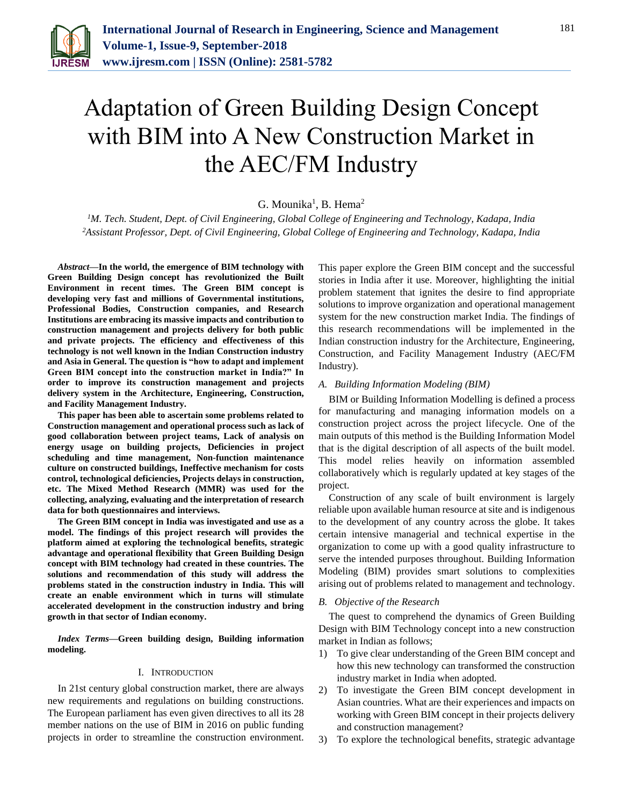

# Adaptation of Green Building Design Concept with BIM into A New Construction Market in the AEC/FM Industry

# G. Mounika<sup>1</sup>, B. Hema<sup>2</sup>

*<sup>1</sup>M. Tech. Student, Dept. of Civil Engineering, Global College of Engineering and Technology, Kadapa, India <sup>2</sup>Assistant Professor, Dept. of Civil Engineering, Global College of Engineering and Technology, Kadapa, India*

*Abstract***—In the world, the emergence of BIM technology with Green Building Design concept has revolutionized the Built Environment in recent times. The Green BIM concept is developing very fast and millions of Governmental institutions, Professional Bodies, Construction companies, and Research Institutions are embracing its massive impacts and contribution to construction management and projects delivery for both public and private projects. The efficiency and effectiveness of this technology is not well known in the Indian Construction industry and Asia in General. The question is "how to adapt and implement Green BIM concept into the construction market in India?" In order to improve its construction management and projects delivery system in the Architecture, Engineering, Construction, and Facility Management Industry.** 

**This paper has been able to ascertain some problems related to Construction management and operational process such as lack of good collaboration between project teams, Lack of analysis on energy usage on building projects, Deficiencies in project scheduling and time management, Non-function maintenance culture on constructed buildings, Ineffective mechanism for costs control, technological deficiencies, Projects delays in construction, etc. The Mixed Method Research (MMR) was used for the collecting, analyzing, evaluating and the interpretation of research data for both questionnaires and interviews.** 

**The Green BIM concept in India was investigated and use as a model. The findings of this project research will provides the platform aimed at exploring the technological benefits, strategic advantage and operational flexibility that Green Building Design concept with BIM technology had created in these countries. The solutions and recommendation of this study will address the problems stated in the construction industry in India. This will create an enable environment which in turns will stimulate accelerated development in the construction industry and bring growth in that sector of Indian economy.**

*Index Terms***—Green building design, Building information modeling.**

## I. INTRODUCTION

In 21st century global construction market, there are always new requirements and regulations on building constructions. The European parliament has even given directives to all its 28 member nations on the use of BIM in 2016 on public funding projects in order to streamline the construction environment.

This paper explore the Green BIM concept and the successful stories in India after it use. Moreover, highlighting the initial problem statement that ignites the desire to find appropriate solutions to improve organization and operational management system for the new construction market India. The findings of this research recommendations will be implemented in the Indian construction industry for the Architecture, Engineering, Construction, and Facility Management Industry (AEC/FM Industry).

#### *A. Building Information Modeling (BIM)*

BIM or Building Information Modelling is defined a process for manufacturing and managing information models on a construction project across the project lifecycle. One of the main outputs of this method is the Building Information Model that is the digital description of all aspects of the built model. This model relies heavily on information assembled collaboratively which is regularly updated at key stages of the project.

Construction of any scale of built environment is largely reliable upon available human resource at site and is indigenous to the development of any country across the globe. It takes certain intensive managerial and technical expertise in the organization to come up with a good quality infrastructure to serve the intended purposes throughout. Building Information Modeling (BIM) provides smart solutions to complexities arising out of problems related to management and technology.

#### *B. Objective of the Research*

The quest to comprehend the dynamics of Green Building Design with BIM Technology concept into a new construction market in Indian as follows;

- 1) To give clear understanding of the Green BIM concept and how this new technology can transformed the construction industry market in India when adopted.
- 2) To investigate the Green BIM concept development in Asian countries. What are their experiences and impacts on working with Green BIM concept in their projects delivery and construction management?
- 3) To explore the technological benefits, strategic advantage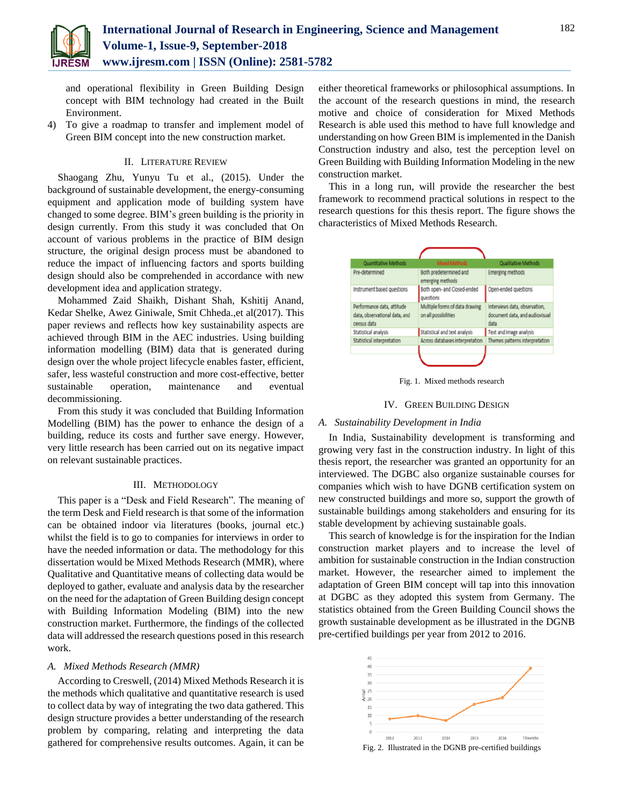

and operational flexibility in Green Building Design concept with BIM technology had created in the Built Environment.

4) To give a roadmap to transfer and implement model of Green BIM concept into the new construction market.

## II. LITERATURE REVIEW

Shaogang Zhu, Yunyu Tu et al., (2015). Under the background of sustainable development, the energy-consuming equipment and application mode of building system have changed to some degree. BIM's green building is the priority in design currently. From this study it was concluded that On account of various problems in the practice of BIM design structure, the original design process must be abandoned to reduce the impact of influencing factors and sports building design should also be comprehended in accordance with new development idea and application strategy.

Mohammed Zaid Shaikh, Dishant Shah, Kshitij Anand, Kedar Shelke, Awez Giniwale, Smit Chheda.,et al(2017). This paper reviews and reflects how key sustainability aspects are achieved through BIM in the AEC industries. Using building information modelling (BIM) data that is generated during design over the whole project lifecycle enables faster, efficient, safer, less wasteful construction and more cost-effective, better sustainable operation, maintenance and eventual decommissioning.

From this study it was concluded that Building Information Modelling (BIM) has the power to enhance the design of a building, reduce its costs and further save energy. However, very little research has been carried out on its negative impact on relevant sustainable practices.

#### III. METHODOLOGY

This paper is a "Desk and Field Research". The meaning of the term Desk and Field research is that some of the information can be obtained indoor via literatures (books, journal etc.) whilst the field is to go to companies for interviews in order to have the needed information or data. The methodology for this dissertation would be Mixed Methods Research (MMR), where Qualitative and Quantitative means of collecting data would be deployed to gather, evaluate and analysis data by the researcher on the need for the adaptation of Green Building design concept with Building Information Modeling (BIM) into the new construction market. Furthermore, the findings of the collected data will addressed the research questions posed in this research work.

#### *A. Mixed Methods Research (MMR)*

According to Creswell, (2014) Mixed Methods Research it is the methods which qualitative and quantitative research is used to collect data by way of integrating the two data gathered. This design structure provides a better understanding of the research problem by comparing, relating and interpreting the data gathered for comprehensive results outcomes. Again, it can be

either theoretical frameworks or philosophical assumptions. In the account of the research questions in mind, the research motive and choice of consideration for Mixed Methods Research is able used this method to have full knowledge and understanding on how Green BIM is implemented in the Danish Construction industry and also, test the perception level on Green Building with Building Information Modeling in the new construction market.

This in a long run, will provide the researcher the best framework to recommend practical solutions in respect to the research questions for this thesis report. The figure shows the characteristics of Mixed Methods Research.



Fig. 1. Mixed methods research

#### IV. GREEN BUILDING DESIGN

#### *A. Sustainability Development in India*

In India, Sustainability development is transforming and growing very fast in the construction industry. In light of this thesis report, the researcher was granted an opportunity for an interviewed. The DGBC also organize sustainable courses for companies which wish to have DGNB certification system on new constructed buildings and more so, support the growth of sustainable buildings among stakeholders and ensuring for its stable development by achieving sustainable goals.

This search of knowledge is for the inspiration for the Indian construction market players and to increase the level of ambition for sustainable construction in the Indian construction market. However, the researcher aimed to implement the adaptation of Green BIM concept will tap into this innovation at DGBC as they adopted this system from Germany. The statistics obtained from the Green Building Council shows the growth sustainable development as be illustrated in the DGNB pre-certified buildings per year from 2012 to 2016.

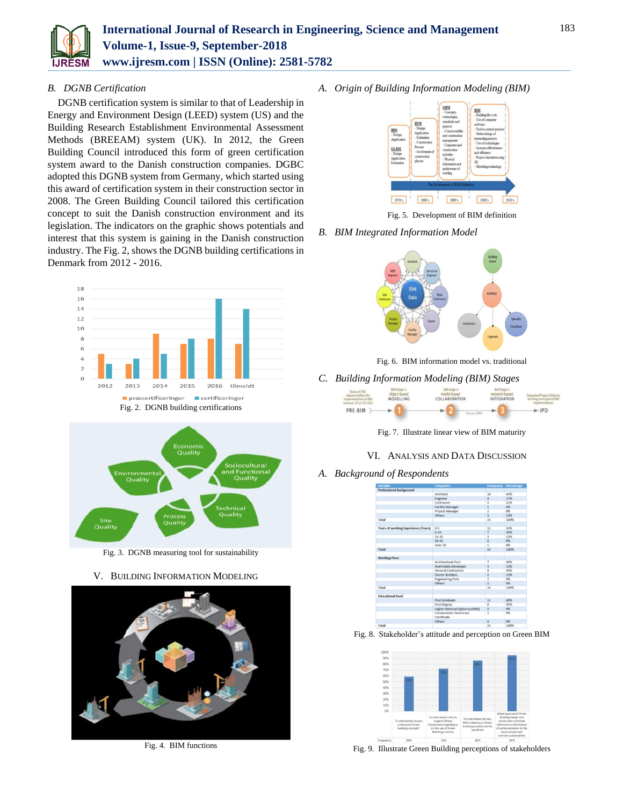

# *B. DGNB Certification*

DGNB certification system is similar to that of Leadership in Energy and Environment Design (LEED) system (US) and the Building Research Establishment Environmental Assessment Methods (BREEAM) system (UK). In 2012, the Green Building Council introduced this form of green certification system award to the Danish construction companies. DGBC adopted this DGNB system from Germany, which started using this award of certification system in their construction sector in 2008. The Green Building Council tailored this certification concept to suit the Danish construction environment and its legislation. The indicators on the graphic shows potentials and interest that this system is gaining in the Danish construction industry. The Fig. 2, shows the DGNB building certifications in Denmark from 2012 - 2016.



Fig. 2. DGNB building certifications



Fig. 3. DGNB measuring tool for sustainability

# V. BUILDING INFORMATION MODELING



Fig. 4. BIM functions

*A. Origin of Building Information Modeling (BIM)*



Fig. 5. Development of BIM definition

*B. BIM Integrated Information Model*



Fig. 6. BIM information model vs. traditional

*C. Building Information Modeling (BIM) Stages*



Fig. 7. Illustrate linear view of BIM maturity

- VI. ANALYSIS AND DATA DISCUSSION
- *A. Background of Respondents*



Fig. 8. Stakeholder's attitude and perception on Green BIM



Fig. 9. Illustrate Green Building perceptions of stakeholders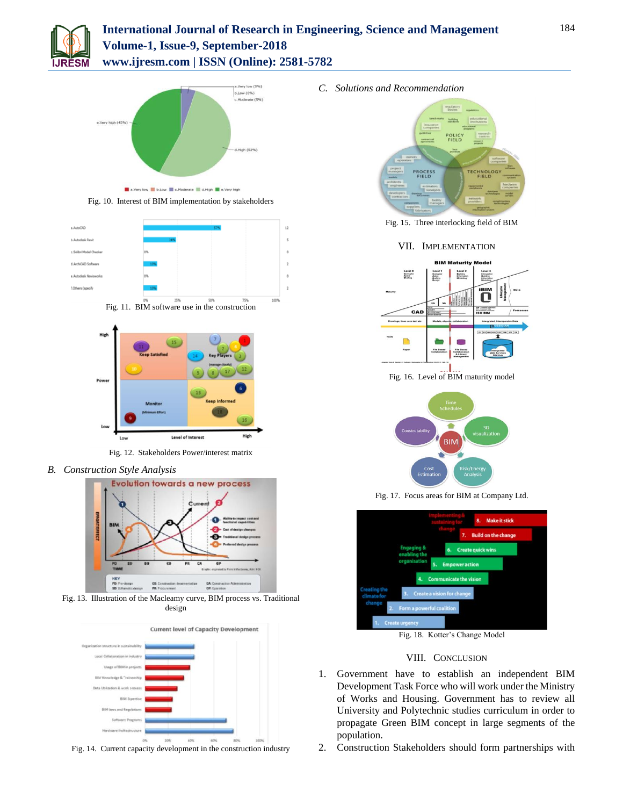

# **International Journal of Research in Engineering, Science and Management Volume-1, Issue-9, September-2018 www.ijresm.com | ISSN (Online): 2581-5782**



Fig. 10. Interest of BIM implementation by stakeholders







Fig. 12. Stakeholders Power/interest matrix

*B. Construction Style Analysis*



Fig. 13. Illustration of the Macleamy curve, BIM process vs. Traditional design



Fig. 14. Current capacity development in the construction industry

*C. Solutions and Recommendation*



Fig. 15. Three interlocking field of BIM

## VII. IMPLEMENTATION



Fig. 16. Level of BIM maturity model



Fig. 17. Focus areas for BIM at Company Ltd.



Fig. 18. Kotter's Change Model

# VIII. CONCLUSION

- 1. Government have to establish an independent BIM Development Task Force who will work under the Ministry of Works and Housing. Government has to review all University and Polytechnic studies curriculum in order to propagate Green BIM concept in large segments of the population.
- 2. Construction Stakeholders should form partnerships with